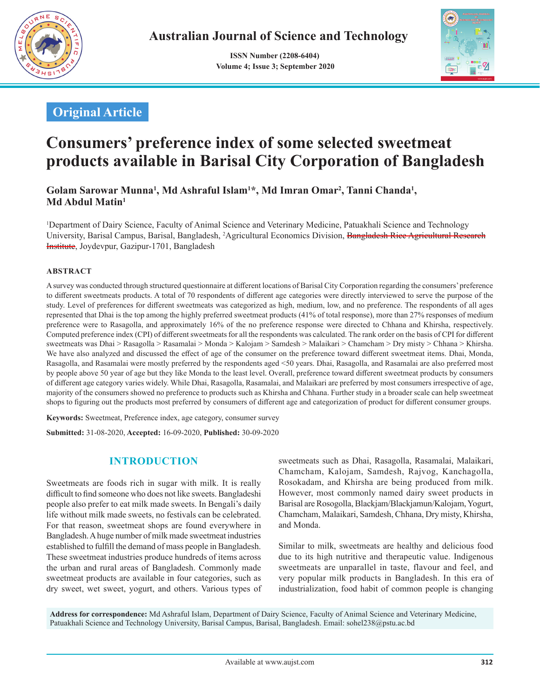

 **ISSN Number (2208-6404) Volume 4; Issue 3; September 2020**



# **Original Article**

# **Consumers' preference index of some selected sweetmeat products available in Barisal City Corporation of Bangladesh**

Golam Sarowar Munna<sup>1</sup>, Md Ashraful Islam<sup>1\*</sup>, Md Imran Omar<sup>2</sup>, Tanni Chanda<sup>1</sup>, **Md Abdul Matin1**

1 Department of Dairy Science, Faculty of Animal Science and Veterinary Medicine, Patuakhali Science and Technology University, Barisal Campus, Barisal, Bangladesh, <sup>2</sup>Agricultural Economics Division, <del>Bangladesh Rice Agricultural Research</del> Institute, Joydevpur, Gazipur-1701, Bangladesh

### **ABSTRACT**

A survey was conducted through structured questionnaire at different locations of Barisal City Corporation regarding the consumers' preference to different sweetmeats products. A total of 70 respondents of different age categories were directly interviewed to serve the purpose of the study. Level of preferences for different sweetmeats was categorized as high, medium, low, and no preference. The respondents of all ages represented that Dhai is the top among the highly preferred sweetmeat products (41% of total response), more than 27% responses of medium preference were to Rasagolla, and approximately 16% of the no preference response were directed to Chhana and Khirsha, respectively. Computed preference index (CPI) of different sweetmeats for all the respondents was calculated. The rank order on the basis of CPI for different sweetmeats was Dhai > Rasagolla > Rasamalai > Monda > Kalojam > Samdesh > Malaikari > Chamcham > Dry misty > Chhana > Khirsha. We have also analyzed and discussed the effect of age of the consumer on the preference toward different sweetmeat items. Dhai, Monda, Rasagolla, and Rasamalai were mostly preferred by the respondents aged <50 years. Dhai, Rasagolla, and Rasamalai are also preferred most by people above 50 year of age but they like Monda to the least level. Overall, preference toward different sweetmeat products by consumers of different age category varies widely. While Dhai, Rasagolla, Rasamalai, and Malaikari are preferred by most consumers irrespective of age, majority of the consumers showed no preference to products such as Khirsha and Chhana. Further study in a broader scale can help sweetmeat shops to figuring out the products most preferred by consumers of different age and categorization of product for different consumer groups.

**Keywords:** Sweetmeat, Preference index, age category, consumer survey

**Submitted:** 31-08-2020, **Accepted:** 16-09-2020, **Published:** 30-09-2020

# **INTRODUCTION**

Sweetmeats are foods rich in sugar with milk. It is really difficult to find someone who does not like sweets. Bangladeshi people also prefer to eat milk made sweets. In Bengali's daily life without milk made sweets, no festivals can be celebrated. For that reason, sweetmeat shops are found everywhere in Bangladesh. A huge number of milk made sweetmeat industries established to fulfill the demand of mass people in Bangladesh. These sweetmeat industries produce hundreds of items across the urban and rural areas of Bangladesh. Commonly made sweetmeat products are available in four categories, such as dry sweet, wet sweet, yogurt, and others. Various types of sweetmeats such as Dhai, Rasagolla, Rasamalai, Malaikari, Chamcham, Kalojam, Samdesh, Rajvog, Kanchagolla, Rosokadam, and Khirsha are being produced from milk. However, most commonly named dairy sweet products in Barisal are Rosogolla, Blackjam/Blackjamun/Kalojam, Yogurt, Chamcham, Malaikari, Samdesh, Chhana, Dry misty, Khirsha, and Monda.

Similar to milk, sweetmeats are healthy and delicious food due to its high nutritive and therapeutic value. Indigenous sweetmeats are unparallel in taste, flavour and feel, and very popular milk products in Bangladesh. In this era of industrialization, food habit of common people is changing

**Address for correspondence:** Md Ashraful Islam, Department of Dairy Science, Faculty of Animal Science and Veterinary Medicine, Patuakhali Science and Technology University, Barisal Campus, Barisal, Bangladesh. Email: sohel238@pstu.ac.bd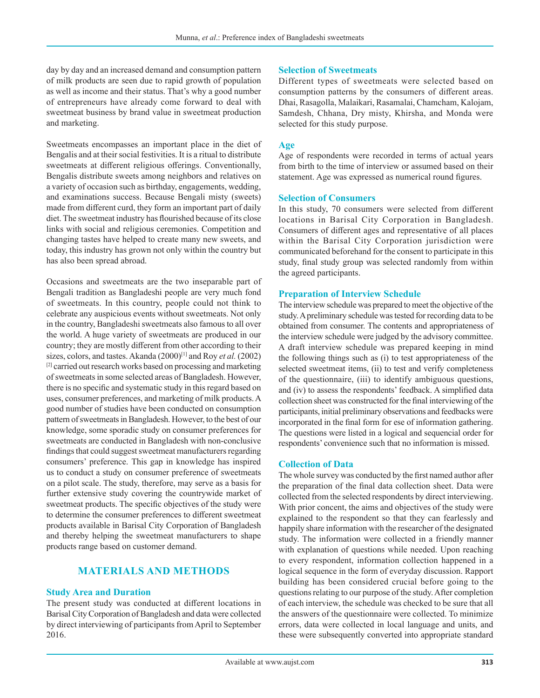day by day and an increased demand and consumption pattern of milk products are seen due to rapid growth of population as well as income and their status. That's why a good number of entrepreneurs have already come forward to deal with sweetmeat business by brand value in sweetmeat production and marketing.

Sweetmeats encompasses an important place in the diet of Bengalis and at their social festivities. It is a ritual to distribute sweetmeats at different religious offerings. Conventionally, Bengalis distribute sweets among neighbors and relatives on a variety of occasion such as birthday, engagements, wedding, and examinations success. Because Bengali misty (sweets) made from different curd, they form an important part of daily diet. The sweetmeat industry has flourished because of its close links with social and religious ceremonies. Competition and changing tastes have helped to create many new sweets, and today, this industry has grown not only within the country but has also been spread abroad.

Occasions and sweetmeats are the two inseparable part of Bengali tradition as Bangladeshi people are very much fond of sweetmeats. In this country, people could not think to celebrate any auspicious events without sweetmeats. Not only in the country, Bangladeshi sweetmeats also famous to all over the world. A huge variety of sweetmeats are produced in our country; they are mostly different from other according to their sizes, colors, and tastes. Akanda (2000)[1] and Roy *et al.* (2002) [2] carried out research works based on processing and marketing of sweetmeats in some selected areas of Bangladesh. However, there is no specific and systematic study in this regard based on uses, consumer preferences, and marketing of milk products. A good number of studies have been conducted on consumption pattern of sweetmeats in Bangladesh. However, to the best of our knowledge, some sporadic study on consumer preferences for sweetmeats are conducted in Bangladesh with non-conclusive findings that could suggest sweetmeat manufacturers regarding consumers' preference. This gap in knowledge has inspired us to conduct a study on consumer preference of sweetmeats on a pilot scale. The study, therefore, may serve as a basis for further extensive study covering the countrywide market of sweetmeat products. The specific objectives of the study were to determine the consumer preferences to different sweetmeat products available in Barisal City Corporation of Bangladesh and thereby helping the sweetmeat manufacturers to shape products range based on customer demand.

### **MATERIALS AND METHODS**

### **Study Area and Duration**

The present study was conducted at different locations in Barisal City Corporation of Bangladesh and data were collected by direct interviewing of participants from April to September 2016.

### **Selection of Sweetmeats**

Different types of sweetmeats were selected based on consumption patterns by the consumers of different areas. Dhai, Rasagolla, Malaikari, Rasamalai, Chamcham, Kalojam, Samdesh, Chhana, Dry misty, Khirsha, and Monda were selected for this study purpose.

### **Age**

Age of respondents were recorded in terms of actual years from birth to the time of interview or assumed based on their statement. Age was expressed as numerical round figures.

### **Selection of Consumers**

In this study, 70 consumers were selected from different locations in Barisal City Corporation in Bangladesh. Consumers of different ages and representative of all places within the Barisal City Corporation jurisdiction were communicated beforehand for the consent to participate in this study, final study group was selected randomly from within the agreed participants.

### **Preparation of Interview Schedule**

The interview schedule was prepared to meet the objective of the study. A preliminary schedule was tested for recording data to be obtained from consumer. The contents and appropriateness of the interview schedule were judged by the advisory committee. A draft interview schedule was prepared keeping in mind the following things such as (i) to test appropriateness of the selected sweetmeat items, (ii) to test and verify completeness of the questionnaire, (iii) to identify ambiguous questions, and (iv) to assess the respondents' feedback. A simplified data collection sheet was constructed for the final interviewing of the participants, initial preliminary observations and feedbacks were incorporated in the final form for ese of information gathering. The questions were listed in a logical and sequencial order for respondents' convenience such that no information is missed.

### **Collection of Data**

The whole survey was conducted by the first named author after the preparation of the final data collection sheet. Data were collected from the selected respondents by direct interviewing. With prior concent, the aims and objectives of the study were explained to the respondent so that they can fearlessly and happily share information with the researcher of the designated study. The information were collected in a friendly manner with explanation of questions while needed. Upon reaching to every respondent, information collection happened in a logical sequence in the form of everyday discussion. Rapport building has been considered crucial before going to the questions relating to our purpose of the study. After completion of each interview, the schedule was checked to be sure that all the answers of the questionnaire were collected. To minimize errors, data were collected in local language and units, and these were subsequently converted into appropriate standard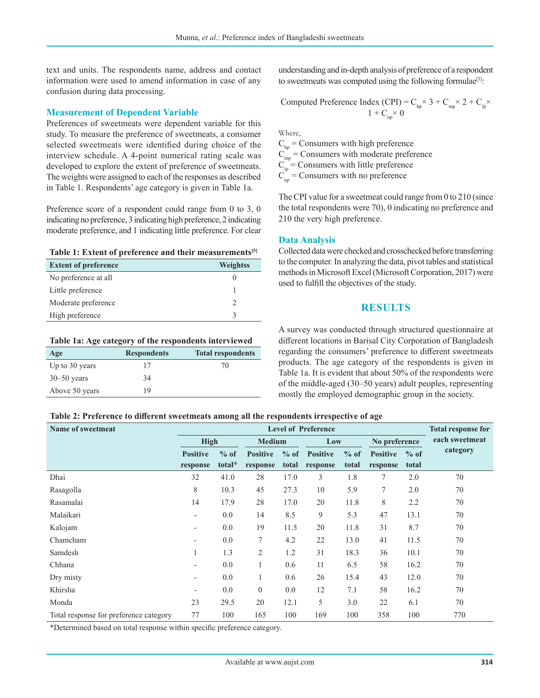text and units. The respondents name, address and contact information were used to amend information in case of any confusion during data processing.

### **Measurement of Dependent Variable**

Preferences of sweetmeats were dependent variable for this study. To measure the preference of sweetmeats, a consumer selected sweetmeats were identified during choice of the interview schedule. A 4-point numerical rating scale was developed to explore the extent of preference of sweetmeats. The weights were assigned to each of the responses as described in Table 1. Respondents' age category is given in Table 1a.

Preference score of a respondent could range from 0 to 3, 0 indicating no preference, 3 indicating high preference, 2 indicating moderate preference, and 1 indicating little preference. For clear



| <b>Extent of preference</b> | Weightss |
|-----------------------------|----------|
| No preference at all        |          |
| Little preference           |          |
| Moderate preference         |          |
| High preference             |          |

#### **Table 1a: Age category of the respondents interviewed**

| Age             | <b>Respondents</b> | <b>Total respondents</b> |
|-----------------|--------------------|--------------------------|
| Up to 30 years  |                    | 70                       |
| $30 - 50$ years | 34                 |                          |
| Above 50 years  | 19                 |                          |

understanding and in-depth analysis of preference of a respondent to sweetmeats was computed using the following formulae<sup>[3]</sup>:

Computed Preference Index (CPI) =  $C_{hp}$  × 3 +  $C_{mp}$  × 2 +  $C_{lp}$  ×  $1 + C_{nn} \times 0$ 

Where,

 $C<sub>hp</sub>$  = Consumers with high preference  $C_{mp}$  = Consumers with moderate preference  $C_{\text{in}} = \text{Consumers with little preference}$  $C_{\text{np}}$  = Consumers with no preference

The CPI value for a sweetmeat could range from 0 to 210 (since the total respondents were 70), 0 indicating no preference and 210 the very high preference.

### **Data Analysis**

Collected data were checked and crosschecked before transferring to the computer. In analyzing the data, pivot tables and statistical methods in Microsoft Excel (Microsoft Corporation, 2017) were used to fulfill the objectives of the study.

### **RESULTS**

A survey was conducted through structured questionnaire at different locations in Barisal City Corporation of Bangladesh regarding the consumers' preference to different sweetmeats products. The age category of the respondents is given in Table 1a. It is evident that about 50% of the respondents were of the middle-aged (30–50 years) adult peoples, representing mostly the employed demographic group in the society.

### **Table 2: Preference to different sweetmeats among all the respondents irrespective of age**

| Name of sweetmeat                      | <b>Level of Preference</b> |        |                 |               |                 |        | <b>Total response for</b> |               |                |
|----------------------------------------|----------------------------|--------|-----------------|---------------|-----------------|--------|---------------------------|---------------|----------------|
|                                        | High                       |        |                 | <b>Medium</b> |                 | Low    |                           | No preference | each sweetmeat |
|                                        | <b>Positive</b>            | $%$ of | <b>Positive</b> | $%$ of        | <b>Positive</b> | $%$ of | <b>Positive</b>           | $%$ of        | category       |
|                                        | response                   | total* | response        | total         | response        | total  | response                  | total         |                |
| Dhai                                   | 32                         | 41.0   | 28              | 17.0          | 3               | 1.8    | 7                         | 2.0           | 70             |
| Rasagolla                              | 8                          | 10.3   | 45              | 27.3          | 10              | 5.9    | 7                         | 2.0           | 70             |
| Rasamalai                              | 14                         | 17.9   | 28              | 17.0          | 20              | 11.8   | 8                         | 2.2           | 70             |
| Malaikari                              | $\overline{\phantom{0}}$   | 0.0    | 14              | 8.5           | 9               | 5.3    | 47                        | 13.1          | 70             |
| Kalojam                                | -                          | 0.0    | 19              | 11.5          | 20              | 11.8   | 31                        | 8.7           | 70             |
| Chamcham                               | $\overline{\phantom{0}}$   | 0.0    | 7               | 4.2           | 22              | 13.0   | 41                        | 11.5          | 70             |
| Samdesh                                |                            | 1.3    | 2               | 1.2           | 31              | 18.3   | 36                        | 10.1          | 70             |
| Chhana                                 |                            | 0.0    |                 | 0.6           | 11              | 6.5    | 58                        | 16.2          | 70             |
| Dry misty                              | -                          | 0.0    | 1               | 0.6           | 26              | 15.4   | 43                        | 12.0          | 70             |
| Khirsha                                |                            | 0.0    | $\overline{0}$  | 0.0           | 12              | 7.1    | 58                        | 16.2          | 70             |
| Monda                                  | 23                         | 29.5   | 20              | 12.1          | 5               | 3.0    | 22                        | 6.1           | 70             |
| Total response for preference category | 77                         | 100    | 165             | 100           | 169             | 100    | 358                       | 100           | 770            |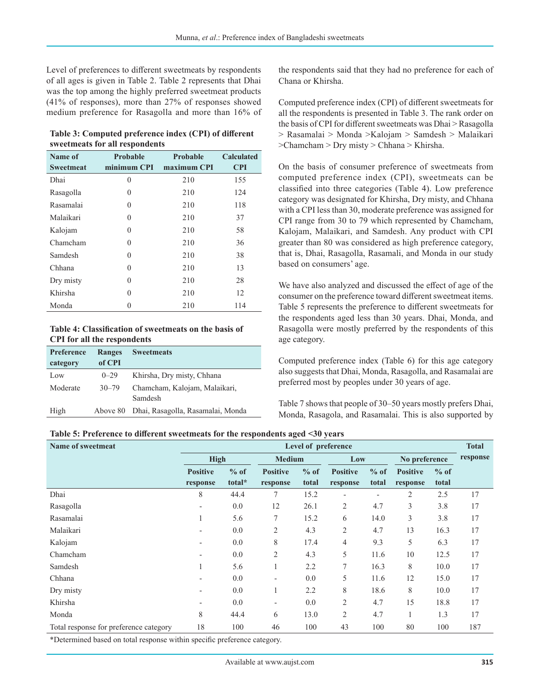Level of preferences to different sweetmeats by respondents of all ages is given in Table 2. Table 2 represents that Dhai was the top among the highly preferred sweetmeat products (41% of responses), more than 27% of responses showed medium preference for Rasagolla and more than 16% of

**Table 3: Computed preference index (CPI) of different sweetmeats for all respondents**

| Name of          | Probable    | <b>Probable</b> | <b>Calculated</b> |
|------------------|-------------|-----------------|-------------------|
| <b>Sweetmeat</b> | minimum CPI | maximum CPI     | <b>CPI</b>        |
| Dhai             | $\theta$    | 210             | 155               |
| Rasagolla        | $\theta$    | 210             | 124               |
| Rasamalai        | $\theta$    | 210             | 118               |
| Malaikari        | $\theta$    | 210             | 37                |
| Kalojam          | $\theta$    | 210             | 58                |
| Chamcham         | $\theta$    | 210             | 36                |
| Samdesh          | $\theta$    | 210             | 38                |
| Chhana           | $\Omega$    | 210             | 13                |
| Dry misty        | $\Omega$    | 210             | 28                |
| Khirsha          | $\Omega$    | 210             | 12                |
| Monda            | 0           | 210             | 114               |

**Table 4: Classification of sweetmeats on the basis of CPI for all the respondents**

| Preference | Ranges    | <b>Sweetmeats</b>                        |
|------------|-----------|------------------------------------------|
| category   | of CPI    |                                          |
| Low        | $0 - 29$  | Khirsha, Dry misty, Chhana               |
| Moderate   | $30 - 79$ | Chamcham, Kalojam, Malaikari,<br>Samdesh |
| High       | Above 80  | Dhai, Rasagolla, Rasamalai, Monda        |

the respondents said that they had no preference for each of Chana or Khirsha.

Computed preference index (CPI) of different sweetmeats for all the respondents is presented in Table 3. The rank order on the basis of CPI for different sweetmeats was Dhai > Rasagolla > Rasamalai > Monda >Kalojam > Samdesh > Malaikari >Chamcham > Dry misty > Chhana > Khirsha.

On the basis of consumer preference of sweetmeats from computed preference index (CPI), sweetmeats can be classified into three categories (Table 4). Low preference category was designated for Khirsha, Dry misty, and Chhana with a CPI less than 30, moderate preference was assigned for CPI range from 30 to 79 which represented by Chamcham, Kalojam, Malaikari, and Samdesh. Any product with CPI greater than 80 was considered as high preference category, that is, Dhai, Rasagolla, Rasamali, and Monda in our study based on consumers' age.

We have also analyzed and discussed the effect of age of the consumer on the preference toward different sweetmeat items. Table 5 represents the preference to different sweetmeats for the respondents aged less than 30 years. Dhai, Monda, and Rasagolla were mostly preferred by the respondents of this age category.

Computed preference index (Table 6) for this age category also suggests that Dhai, Monda, Rasagolla, and Rasamalai are preferred most by peoples under 30 years of age.

Table 7 shows that people of 30–50 years mostly prefers Dhai, Monda, Rasagola, and Rasamalai. This is also supported by

| Table 5: Preference to different sweetmeats for the respondents aged <30 years |  |  |  |  |  |
|--------------------------------------------------------------------------------|--|--|--|--|--|
|--------------------------------------------------------------------------------|--|--|--|--|--|

| Name of sweetmeat                      | Level of preference                 |                  |                              |                 |                             |                 | <b>Total</b>                |                 |          |
|----------------------------------------|-------------------------------------|------------------|------------------------------|-----------------|-----------------------------|-----------------|-----------------------------|-----------------|----------|
|                                        |                                     | High             |                              | <b>Medium</b>   |                             | Low             | No preference               |                 | response |
|                                        | <b>Positive</b><br>response         | $%$ of<br>total* | <b>Positive</b><br>response  | $%$ of<br>total | <b>Positive</b><br>response | $%$ of<br>total | <b>Positive</b><br>response | $%$ of<br>total |          |
| Dhai                                   | 8                                   | 44.4             | 7                            | 15.2            |                             |                 | 2                           | 2.5             | 17       |
| Rasagolla                              |                                     | 0.0              | 12                           | 26.1            | 2                           | 4.7             | 3                           | 3.8             | 17       |
| Rasamalai                              |                                     | 5.6              | 7                            | 15.2            | 6                           | 14.0            | 3                           | 3.8             | 17       |
| Malaikari                              |                                     | 0.0              | $\mathfrak{2}$               | 4.3             | 2                           | 4.7             | 13                          | 16.3            | 17       |
| Kalojam                                |                                     | 0.0              | 8                            | 17.4            | $\overline{4}$              | 9.3             | 5                           | 6.3             | 17       |
| Chamcham                               |                                     | 0.0              | 2                            | 4.3             | 5                           | 11.6            | 10                          | 12.5            | 17       |
| Samdesh                                |                                     | 5.6              | 1                            | 2.2             | 7                           | 16.3            | 8                           | 10.0            | 17       |
| Chhana                                 |                                     | 0.0              | $\qquad \qquad \blacksquare$ | 0.0             | 5                           | 11.6            | 12                          | 15.0            | 17       |
| Dry misty                              |                                     | 0.0              | 1                            | 2.2             | 8                           | 18.6            | 8                           | 10.0            | 17       |
| Khirsha                                |                                     | 0.0              | $\qquad \qquad \blacksquare$ | 0.0             | 2                           | 4.7             | 15                          | 18.8            | 17       |
| Monda                                  | 8                                   | 44.4             | 6                            | 13.0            | $\overline{2}$              | 4.7             | 1                           | 1.3             | 17       |
| Total response for preference category | 18                                  | 100              | 46                           | 100             | 43                          | 100             | 80                          | 100             | 187      |
|                                        | $\cdot$ $\sim$<br>$\cdot$ . $\cdot$ | $\sim$           |                              |                 |                             |                 |                             |                 |          |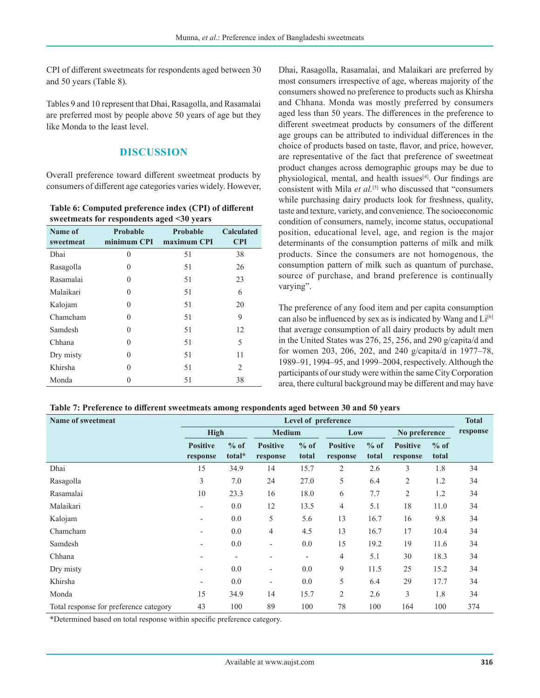CPI of different sweetmeats for respondents aged between 30 and 50 years (Table 8).

Tables 9 and 10 represent that Dhai, Rasagolla, and Rasamalai are preferred most by people above 50 years of age but they like Monda to the least level.

## **DISCUSSION**

Overall preference toward different sweetmeat products by consumers of different age categories varies widely. However,

**Table 6: Computed preference index (CPI) of different sweetmeats for respondents aged <30 years**

| Name of<br>sweetmeat | Probable<br>minimum CPI | Probable<br>maximum CPI | <b>Calculated</b><br><b>CPI</b> |
|----------------------|-------------------------|-------------------------|---------------------------------|
| Dhai                 | $\theta$                | 51                      | 38                              |
| Rasagolla            | 0                       | 51                      | 26                              |
| Rasamalai            | 0                       | 51                      | 23                              |
| Malaikari            | $\Omega$                | 51                      | 6                               |
| Kalojam              | $\Omega$                | 51                      | 20                              |
| Chamcham             | $\Omega$                | 51                      | 9                               |
| Samdesh              | $\Omega$                | 51                      | 12                              |
| Chhana               | $\Omega$                | 51                      | 5                               |
| Dry misty            | 0                       | 51                      | 11                              |
| Khirsha              | $\Omega$                | 51                      | 2                               |
| Monda                | 0                       | 51                      | 38                              |

Dhai, Rasagolla, Rasamalai, and Malaikari are preferred by most consumers irrespective of age, whereas majority of the consumers showed no preference to products such as Khirsha and Chhana. Monda was mostly preferred by consumers aged less than 50 years. The differences in the preference to different sweetmeat products by consumers of the different age groups can be attributed to individual differences in the choice of products based on taste, flavor, and price, however, are representative of the fact that preference of sweetmeat product changes across demographic groups may be due to physiological, mental, and health issues<sup>[4]</sup>. Our findings are consistent with Mila *et al.*[5] who discussed that "consumers while purchasing dairy products look for freshness, quality, taste and texture, variety, and convenience. The socioeconomic condition of consumers, namely, income status, occupational position, educational level, age, and region is the major determinants of the consumption patterns of milk and milk products. Since the consumers are not homogenous, the consumption pattern of milk such as quantum of purchase, source of purchase, and brand preference is continually varying".

The preference of any food item and per capita consumption can also be influenced by sex as is indicated by Wang and Li<sup>[6]</sup> that average consumption of all dairy products by adult men in the United States was 276, 25, 256, and 290 g/capita/d and for women 203, 206, 202, and 240 g/capita/d in 1977–78, 1989–91, 1994–95, and 1999–2004, respectively. Although the participants of our study were within the same City Corporation area, there cultural background may be different and may have

| Table 7: Preference to different sweetmeats among respondents aged between 30 and 50 years |  |  |
|--------------------------------------------------------------------------------------------|--|--|
|--------------------------------------------------------------------------------------------|--|--|

| Name of sweetmeat<br>Level of preference |                          |                          |                          | <b>Total</b>             |                 |        |                 |        |          |
|------------------------------------------|--------------------------|--------------------------|--------------------------|--------------------------|-----------------|--------|-----------------|--------|----------|
|                                          | <b>High</b>              |                          | <b>Medium</b>            |                          | Low             |        | No preference   |        | response |
|                                          | <b>Positive</b>          | $%$ of                   | <b>Positive</b>          | $%$ of                   | <b>Positive</b> | $%$ of | <b>Positive</b> | $%$ of |          |
|                                          | response                 | total*                   | response                 | total                    | response        | total  | response        | total  |          |
| Dhai                                     | 15                       | 34.9                     | 14                       | 15.7                     | 2               | 2.6    | 3               | 1.8    | 34       |
| Rasagolla                                | 3                        | 7.0                      | 24                       | 27.0                     | 5               | 6.4    | $\overline{2}$  | 1.2    | 34       |
| Rasamalai                                | 10                       | 23.3                     | 16                       | 18.0                     | 6               | 7.7    | $\overline{2}$  | 1.2    | 34       |
| Malaikari                                |                          | 0.0                      | 12                       | 13.5                     | $\overline{4}$  | 5.1    | 18              | 11.0   | 34       |
| Kalojam                                  | $\overline{\phantom{a}}$ | 0.0                      | 5                        | 5.6                      | 13              | 16.7   | 16              | 9.8    | 34       |
| Chamcham                                 | $\overline{\phantom{a}}$ | 0.0                      | $\overline{4}$           | 4.5                      | 13              | 16.7   | 17              | 10.4   | 34       |
| Samdesh                                  |                          | 0.0                      | $\overline{\phantom{a}}$ | 0.0                      | 15              | 19.2   | 19              | 11.6   | 34       |
| Chhana                                   |                          | $\overline{\phantom{a}}$ | $\overline{\phantom{a}}$ | $\overline{\phantom{0}}$ | $\overline{4}$  | 5.1    | 30              | 18.3   | 34       |
| Dry misty                                | $\overline{\phantom{a}}$ | 0.0                      | $\overline{\phantom{a}}$ | 0.0                      | 9               | 11.5   | 25              | 15.2   | 34       |
| Khirsha                                  | $\overline{\phantom{a}}$ | 0.0                      | $\overline{\phantom{a}}$ | 0.0                      | 5               | 6.4    | 29              | 17.7   | 34       |
| Monda                                    | 15                       | 34.9                     | 14                       | 15.7                     | $\mathfrak{2}$  | 2.6    | 3               | 1.8    | 34       |
| Total response for preference category   | 43                       | 100                      | 89                       | 100                      | 78              | 100    | 164             | 100    | 374      |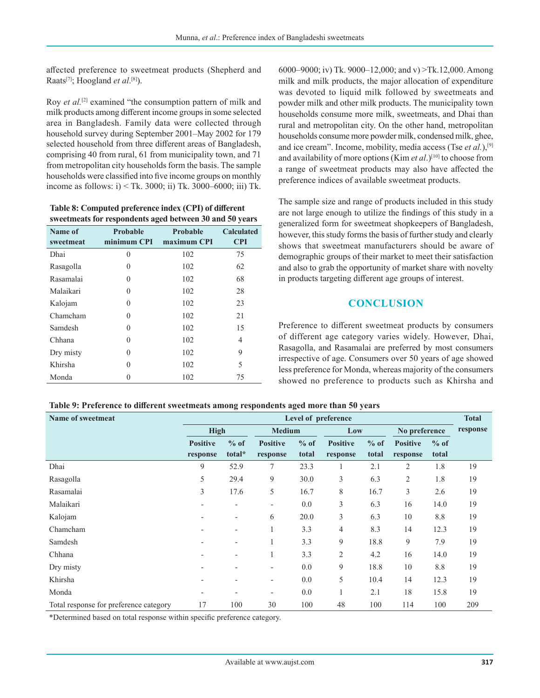affected preference to sweetmeat products (Shepherd and Raats[7]; Hoogland *et al*. [8]).

Roy *et al.*<sup>[2]</sup> examined "the consumption pattern of milk and milk products among different income groups in some selected area in Bangladesh. Family data were collected through household survey during September 2001–May 2002 for 179 selected household from three different areas of Bangladesh, comprising 40 from rural, 61 from municipality town, and 71 from metropolitan city households form the basis. The sample households were classified into five income groups on monthly income as follows:  $i$ ) < Tk. 3000; ii) Tk. 3000–6000; iii) Tk.

**Table 8: Computed preference index (CPI) of different sweetmeats for respondents aged between 30 and 50 years**

| Name of   | Probable    | Probable    | <b>Calculated</b> |  |
|-----------|-------------|-------------|-------------------|--|
| sweetmeat | minimum CPI | maximum CPI | <b>CPI</b>        |  |
| Dhai      | 0           | 102         | 75                |  |
| Rasagolla | 0           | 102         | 62                |  |
| Rasamalai | 0           | 102         | 68                |  |
| Malaikari | 0           | 102         | 28                |  |
| Kalojam   | $\Omega$    | 102         | 23                |  |
| Chamcham  | $\Omega$    | 102         | 21                |  |
| Samdesh   | $\Omega$    | 102         | 15                |  |
| Chhana    | $\Omega$    | 102         | 4                 |  |
| Dry misty | 0           | 102         | 9                 |  |
| Khirsha   | 0           | 102         | 5                 |  |
| Monda     |             | 102         | 75                |  |

6000–9000; iv) Tk. 9000–12,000; and v) >Tk.12,000. Among milk and milk products, the major allocation of expenditure was devoted to liquid milk followed by sweetmeats and powder milk and other milk products. The municipality town households consume more milk, sweetmeats, and Dhai than rural and metropolitan city. On the other hand, metropolitan households consume more powder milk, condensed milk, ghee, and ice cream". Income, mobility, media access (Tse *et al.*),[9] and availability of more options (Kim *et al.*)<sup>[10]</sup> to choose from a range of sweetmeat products may also have affected the preference indices of available sweetmeat products.

The sample size and range of products included in this study are not large enough to utilize the findings of this study in a generalized form for sweetmeat shopkeepers of Bangladesh, however, this study forms the basis of further study and clearly shows that sweetmeat manufacturers should be aware of demographic groups of their market to meet their satisfaction and also to grab the opportunity of market share with novelty in products targeting different age groups of interest.

## **CONCLUSION**

Preference to different sweetmeat products by consumers of different age category varies widely. However, Dhai, Rasagolla, and Rasamalai are preferred by most consumers irrespective of age. Consumers over 50 years of age showed less preference for Monda, whereas majority of the consumers showed no preference to products such as Khirsha and

|  | Table 9: Preference to different sweetmeats among respondents aged more than 50 years |
|--|---------------------------------------------------------------------------------------|
|  |                                                                                       |

| Name of sweetmeat                      | Level of preference      |                          |                          |        |                 |        | <b>Total</b>    |        |          |
|----------------------------------------|--------------------------|--------------------------|--------------------------|--------|-----------------|--------|-----------------|--------|----------|
|                                        | High                     |                          | <b>Medium</b>            |        | Low             |        | No preference   |        | response |
|                                        | <b>Positive</b>          | $%$ of                   | <b>Positive</b>          | $%$ of | <b>Positive</b> | $%$ of | <b>Positive</b> | $%$ of |          |
|                                        | response                 | total*                   | response                 | total  | response        | total  | response        | total  |          |
| Dhai                                   | 9                        | 52.9                     | 7                        | 23.3   |                 | 2.1    | $\overline{2}$  | 1.8    | 19       |
| Rasagolla                              | 5                        | 29.4                     | 9                        | 30.0   | 3               | 6.3    | 2               | 1.8    | 19       |
| Rasamalai                              | 3                        | 17.6                     | 5                        | 16.7   | 8               | 16.7   | 3               | 2.6    | 19       |
| Malaikari                              | $\overline{\phantom{a}}$ | $\overline{\phantom{0}}$ | $\overline{\phantom{a}}$ | 0.0    | 3               | 6.3    | 16              | 14.0   | 19       |
| Kalojam                                |                          |                          | 6                        | 20.0   | 3               | 6.3    | 10              | 8.8    | 19       |
| Chamcham                               |                          |                          |                          | 3.3    | 4               | 8.3    | 14              | 12.3   | 19       |
| Samdesh                                | $\overline{a}$           |                          |                          | 3.3    | 9               | 18.8   | 9               | 7.9    | 19       |
| Chhana                                 |                          |                          | $\perp$                  | 3.3    | 2               | 4.2    | 16              | 14.0   | 19       |
| Dry misty                              |                          |                          | $\overline{\phantom{a}}$ | 0.0    | 9               | 18.8   | 10              | 8.8    | 19       |
| Khirsha                                |                          |                          | $\overline{\phantom{a}}$ | 0.0    | 5               | 10.4   | 14              | 12.3   | 19       |
| Monda                                  | $\overline{\phantom{0}}$ |                          | $\overline{\phantom{0}}$ | 0.0    | 1               | 2.1    | 18              | 15.8   | 19       |
| Total response for preference category | 17                       | 100                      | 30                       | 100    | 48              | 100    | 114             | 100    | 209      |